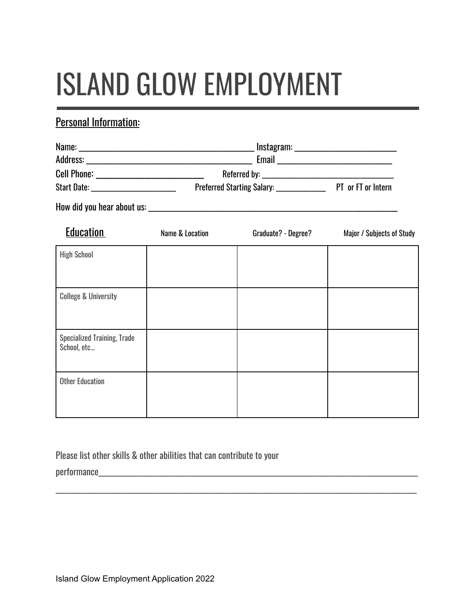# ISLAND GLOW EMPLOYMENT

## Personal Information:

| Name:              | Instagram:                        |                    |
|--------------------|-----------------------------------|--------------------|
| Address:           | Email                             |                    |
| <b>Cell Phone:</b> | Referred by:                      |                    |
| Start Date:        | <b>Preferred Starting Salary:</b> | PT or FT or Intern |

How did you hear about us: \_\_\_\_\_\_\_\_\_\_\_\_\_\_\_\_\_\_\_\_\_\_\_\_\_\_\_\_\_\_\_\_\_\_\_\_\_\_\_\_\_\_\_\_\_\_\_\_\_\_\_\_\_\_\_\_\_\_\_\_\_\_\_\_\_\_\_\_\_\_\_\_\_\_\_\_\_\_

| <b>Education</b>                                  | Name & Location | Graduate? - Degree? | Major / Subjects of Study |
|---------------------------------------------------|-----------------|---------------------|---------------------------|
| <b>High School</b>                                |                 |                     |                           |
|                                                   |                 |                     |                           |
| <b>College &amp; University</b>                   |                 |                     |                           |
|                                                   |                 |                     |                           |
| <b>Specialized Training, Trade</b><br>School, etc |                 |                     |                           |
| <b>Other Education</b>                            |                 |                     |                           |
|                                                   |                 |                     |                           |

\_\_\_\_\_\_\_\_\_\_\_\_\_\_\_\_\_\_\_\_\_\_\_\_\_\_\_\_\_\_\_\_\_\_\_\_\_\_\_\_\_\_\_\_\_\_\_\_\_\_\_\_\_\_\_\_\_\_\_\_\_\_\_\_\_\_\_\_\_\_\_\_\_\_\_\_\_\_\_\_\_\_\_\_\_\_\_\_\_\_\_\_\_\_\_\_\_\_\_\_\_\_\_\_\_\_\_\_\_\_\_\_\_

Please list other skills & other abilities that can contribute to your

 $performance$   $\hspace{0.5cm}$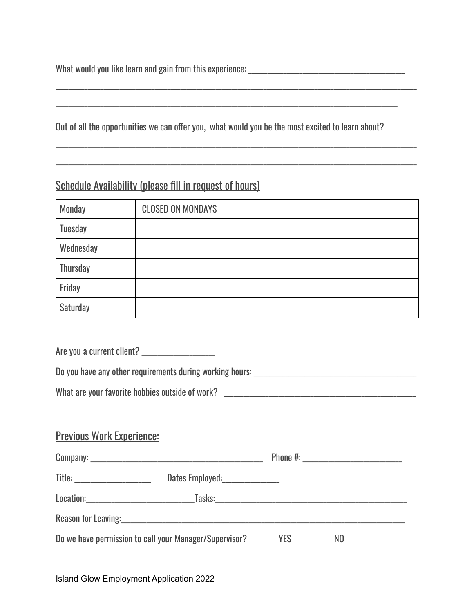What would you like learn and gain from this experience: \_\_\_\_\_\_\_\_\_\_\_\_\_\_\_\_\_\_\_\_\_\_\_\_\_\_\_\_\_\_\_\_\_\_\_\_\_\_\_\_\_\_\_\_\_\_\_\_\_

Out of all the opportunities we can offer you, what would you be the most excited to learn about?

\_\_\_\_\_\_\_\_\_\_\_\_\_\_\_\_\_\_\_\_\_\_\_\_\_\_\_\_\_\_\_\_\_\_\_\_\_\_\_\_\_\_\_\_\_\_\_\_\_\_\_\_\_\_\_\_\_\_\_\_\_\_\_\_\_\_\_\_\_\_\_\_\_\_\_\_\_\_\_\_\_\_\_\_\_\_\_\_\_\_\_\_\_\_\_\_\_\_\_\_\_\_\_\_\_\_\_

\_\_\_\_\_\_\_\_\_\_\_\_\_\_\_\_\_\_\_\_\_\_\_\_\_\_\_\_\_\_\_\_\_\_\_\_\_\_\_\_\_\_\_\_\_\_\_\_\_\_\_\_\_\_\_\_\_\_\_\_\_\_\_\_\_\_\_\_\_\_\_\_\_\_\_\_\_\_\_\_\_\_\_\_\_\_\_\_\_\_\_\_\_\_\_\_\_\_\_\_\_\_\_\_\_\_\_\_\_\_\_\_\_

\_\_\_\_\_\_\_\_\_\_\_\_\_\_\_\_\_\_\_\_\_\_\_\_\_\_\_\_\_\_\_\_\_\_\_\_\_\_\_\_\_\_\_\_\_\_\_\_\_\_\_\_\_\_\_\_\_\_\_\_\_\_\_\_\_\_\_\_\_\_\_\_\_\_\_\_\_\_\_\_\_\_\_\_\_\_\_\_\_\_\_\_\_\_\_\_\_\_\_\_\_\_\_\_\_\_\_\_\_\_\_\_\_

\_\_\_\_\_\_\_\_\_\_\_\_\_\_\_\_\_\_\_\_\_\_\_\_\_\_\_\_\_\_\_\_\_\_\_\_\_\_\_\_\_\_\_\_\_\_\_\_\_\_\_\_\_\_\_\_\_\_\_\_\_\_\_\_\_\_\_\_\_\_\_\_\_\_\_\_\_\_\_\_\_\_\_\_\_\_\_\_\_\_\_\_\_\_\_\_\_\_\_\_\_\_\_\_\_\_\_\_\_\_\_\_\_

## Schedule Availability (please fill in request of hours)

| Monday    | <b>CLOSED ON MONDAYS</b> |
|-----------|--------------------------|
| Tuesday   |                          |
| Wednesday |                          |
| Thursday  |                          |
| Friday    |                          |
| Saturday  |                          |

Are you a current client? \_\_\_\_\_\_\_\_\_\_\_\_\_\_\_\_\_\_\_\_\_\_\_

Do you have any other requirements during working hours: \_\_\_\_\_\_\_\_\_\_\_\_\_\_\_\_\_\_\_\_\_\_\_\_\_\_\_\_\_\_\_\_\_\_\_\_\_\_\_\_\_\_\_\_\_\_\_\_\_\_\_

| What are your favorite hobbies outside of work? |  |
|-------------------------------------------------|--|
|-------------------------------------------------|--|

#### Previous Work Experience:

|                                                              |  |            | Phone #: __________________________ |  |
|--------------------------------------------------------------|--|------------|-------------------------------------|--|
| Title: _____________________                                 |  |            |                                     |  |
|                                                              |  |            |                                     |  |
| Reason for Leaving: New York Changes and Season for Leaving: |  |            |                                     |  |
| Do we have permission to call your Manager/Supervisor?       |  | <b>YES</b> | NO                                  |  |